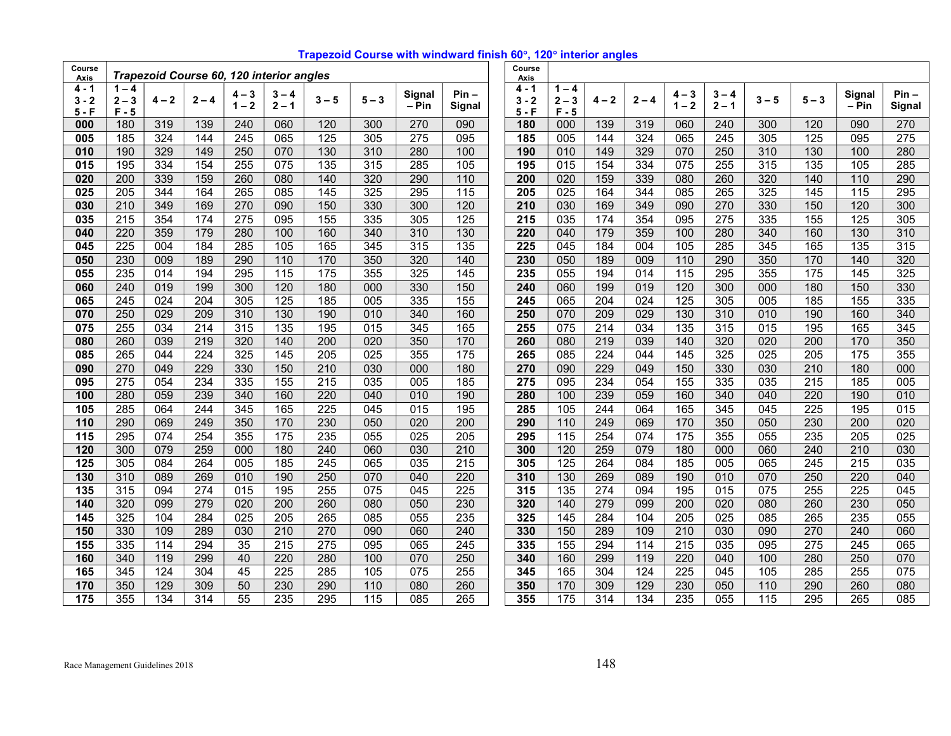## Trapezoid Course with windward finish 60°, 120° interior angles

| Course<br>Axis   | Trapezoid Course 60, 120 interior angles |                  |                  |                  |                  |                  |         |                  | Course<br>Axis   |                  |                    |                  |         |                   |                  |                  |                  |                  |                  |
|------------------|------------------------------------------|------------------|------------------|------------------|------------------|------------------|---------|------------------|------------------|------------------|--------------------|------------------|---------|-------------------|------------------|------------------|------------------|------------------|------------------|
| 4 - 1            | $1 - 4$                                  |                  |                  | $4 - 3$          | $3 - 4$          |                  |         | Signal           | $Pin -$          | $4 - 1$          | $1 - 4$            |                  |         | $4 - 3$           | $3 - 4$          |                  |                  | Signal           | $Pin -$          |
| $3 - 2$<br>5 - F | $2 - 3$<br>$F - 5$                       | $4 - 2$          | 2 – 4            | $1 - 2$          | $2 - 1$          | $3 - 5$          | $5 - 3$ | – Pin            | Signal           | $3 - 2$<br>$5-F$ | $2 - 3$<br>$F - 5$ | $4 - 2$          | $2 - 4$ | $1 - 2$           | $2 - 1$          | $3 - 5$          | $5 - 3$          | – Pin            | Signal           |
| 000              | 180                                      | 319              | 139              | 240              | 060              | 120              | 300     | 270              | 090              | 180              | 000                | 139              | 319     | 060               | 240              | 300              | 120              | 090              | 270              |
| 005              | 185                                      | 324              | 144              | 245              | 065              | 125              | 305     | 275              | 095              | 185              | 005                | 144              | 324     | 065               | 245              | 305              | 125              | 095              | 275              |
| 010              | 190                                      | 329              | 149              | 250              | 070              | 130              | 310     | 280              | 100              | 190              | 010                | 149              | 329     | 070               | 250              | 310              | 130              | 100              | 280              |
| 015              | 195                                      | 334              | 154              | 255              | 075              | 135              | 315     | 285              | 105              | 195              | 015                | 154              | 334     | 075               | 255              | 315              | 135              | 105              | 285              |
| 020              | 200                                      | 339              | 159              | 260              | 080              | 140              | 320     | 290              | 110              | 200              | 020                | 159              | 339     | 080               | 260              | 320              | 140              | 110              | 290              |
| 025              | 205                                      | 344              | 164              | 265              | 085              | 145              | 325     | 295              | 115              | 205              | 025                | 164              | 344     | 085               | 265              | 325              | 145              | 115              | 295              |
| 030              | 210                                      | 349              | 169              | 270              | 090              | 150              | 330     | 300              | 120              | 210              | 030                | 169              | 349     | 090               | 270              | 330              | 150              | 120              | 300              |
| 035              | 215                                      | 354              | $\overline{174}$ | $\overline{275}$ | 095              | 155              | 335     | 305              | 125              | 215              | 035                | 174              | 354     | 095               | $\overline{275}$ | 335              | 155              | $\overline{125}$ | 305              |
| 040              | 220                                      | 359              | 179              | 280              | 100              | 160              | 340     | 310              | 130              | 220              | 040                | 179              | 359     | 100               | 280              | 340              | 160              | 130              | 310              |
| 045              | 225                                      | 004              | 184              | 285              | 105              | 165              | 345     | 315              | $\overline{135}$ | 225              | 045                | 184              | 004     | 105               | 285              | 345              | 165              | $\overline{135}$ | 315              |
| 050              | 230                                      | 009              | 189              | 290              | 110              | 170              | 350     | 320              | 140              | 230              | 050                | 189              | 009     | 110               | 290              | 350              | 170              | 140              | 320              |
| $\overline{055}$ | 235                                      | $\overline{014}$ | 194              | 295              | 115              | 175              | 355     | 325              | 145              | $\overline{235}$ | $\overline{055}$   | 194              | 014     | $\frac{115}{115}$ | 295              | 355              | 175              | $\frac{145}{ }$  | 325              |
| 060              | 240                                      | 019              | 199              | 300              | 120              | 180              | 000     | 330              | 150              | 240              | 060                | 199              | 019     | 120               | 300              | 000              | 180              | 150              | 330              |
| 065              | 245                                      | 024              | 204              | 305              | 125              | 185              | 005     | 335              | 155              | 245              | 065                | 204              | 024     | 125               | 305              | 005              | 185              | 155              | 335              |
| 070              | 250                                      | 029              | 209              | 310              | 130              | 190              | 010     | 340              | 160              | 250              | 070                | 209              | 029     | 130               | 310              | 010              | 190              | 160              | 340              |
| 075              | 255                                      | 034              | 214              | 315              | 135              | 195              | 015     | 345              | 165              | 255              | 075                | 214              | 034     | 135               | 315              | 015              | 195              | 165              | 345              |
| 080              | 260                                      | 039              | 219              | 320              | 140              | 200              | 020     | 350              | 170              | 260              | 080                | 219              | 039     | 140               | 320              | 020              | 200              | 170              | 350              |
| 085              | 265                                      | 044              | 224              | 325              | 145              | 205              | 025     | 355              | $\frac{175}{2}$  | 265              | 085                | 224              | 044     | 145               | 325              | 025              | 205              | $\frac{175}{2}$  | 355              |
| 090              | 270                                      | 049              | 229              | 330              | 150              | 210              | 030     | 000              | 180              | 270              | 090                | 229              | 049     | 150               | 330              | 030              | 210              | 180              | 000              |
| 095              | $\overline{275}$                         | 054              | 234              | $\frac{1}{335}$  | 155              | $\overline{215}$ | 035     | 005              | 185              | $\overline{275}$ | 095                | 234              | 054     | 155               | 335              | 035              | $\overline{215}$ | 185              | 005              |
| 100              | 280                                      | 059              | 239              | 340              | 160              | 220              | 040     | 010              | 190              | 280              | 100                | 239              | 059     | 160               | 340              | 040              | 220              | 190              | 010              |
| 105              | 285                                      | 064              | 244              | 345              | 165              | 225              | 045     | 015              | 195              | 285              | 105                | 244              | 064     | 165               | 345              | 045              | $\overline{225}$ | 195              | 015              |
| 110              | 290                                      | 069              | 249              | 350              | 170              | 230              | 050     | 020              | 200              | 290              | $\frac{110}{110}$  | 249              | 069     | 170               | 350              | 050              | 230              | 200              | 020              |
| 115              | 295                                      | 074              | 254              | 355              | 175              | 235              | 055     | 025              | 205              | 295              | 115                | 254              | 074     | 175               | 355              | 055              | 235              | 205              | 025              |
| 120              | 300                                      | 079              | 259              | 000              | 180              | 240              | 060     | 030              | 210              | 300              | 120                | 259              | 079     | 180               | 000              | 060              | 240              | 210              | 030              |
| 125              | 305                                      | 084              | 264              | 005              | 185              | 245              | 065     | 035              | $\overline{215}$ | 305              | 125                | 264              | 084     | $\frac{1}{185}$   | 005              | 065              | $\overline{245}$ | $\overline{215}$ | $\overline{035}$ |
| 130              | 310                                      | 089              | 269              | 010              | 190              | 250              | 070     | 040              | 220              | 310              | 130                | 269              | 089     | 190               | 010              | 070              | 250              | 220              | 040              |
| 135              | 315                                      | 094              | $\overline{274}$ | $\overline{015}$ | 195              | 255              | 075     | $\overline{045}$ | $\overline{225}$ | 315              | 135                | $\overline{274}$ | 094     | 195               | 015              | $\overline{075}$ | 255              | $\overline{225}$ | $\overline{045}$ |
| 140              | 320                                      | 099              | 279              | 020              | 200              | 260              | 080     | 050              | 230              | 320              | 140                | 279              | 099     | 200               | 020              | 080              | 260              | 230              | 050              |
| 145              | 325                                      | 104              | 284              | 025              | 205              | 265              | 085     | 055              | 235              | 325              | 145                | 284              | 104     | 205               | 025              | 085              | 265              | 235              | 055              |
| 150              | 330                                      | 109              | 289              | 030              | 210              | 270              | 090     | 060              | 240              | 330              | 150                | 289              | 109     | 210               | 030              | 090              | 270              | 240              | 060              |
| 155              | 335                                      | 114              | 294              | 35               | 215              | 275              | 095     | 065              | 245              | 335              | 155                | 294              | 114     | 215               | 035              | 095              | 275              | 245              | 065              |
| 160              | 340                                      | 119              | 299              | 40               | 220              | 280              | 100     | 070              | 250              | 340              | 160                | 299              | 119     | 220               | 040              | 100              | 280              | 250              | 070              |
| 165              | $\frac{1}{345}$                          | 124              | 304              | 45               | $\overline{225}$ | 285              | 105     | 075              | 255              | 345              | 165                | 304              | 124     | 225               | $\overline{045}$ | 105              | 285              | 255              | 075              |
| 170              | 350                                      | 129              | 309              | 50               | 230              | 290              | 110     | 080              | 260              | 350              | 170                | 309              | 129     | 230               | 050              | 110              | 290              | 260              | 080              |
| 175              | 355                                      | 134              | $\overline{314}$ | $\overline{55}$  | $\overline{235}$ | 295              | 115     | $\overline{085}$ | 265              | 355              | $\overline{175}$   | 314              | 134     | 235               | 055              | 115              | 295              | 265              | 085              |